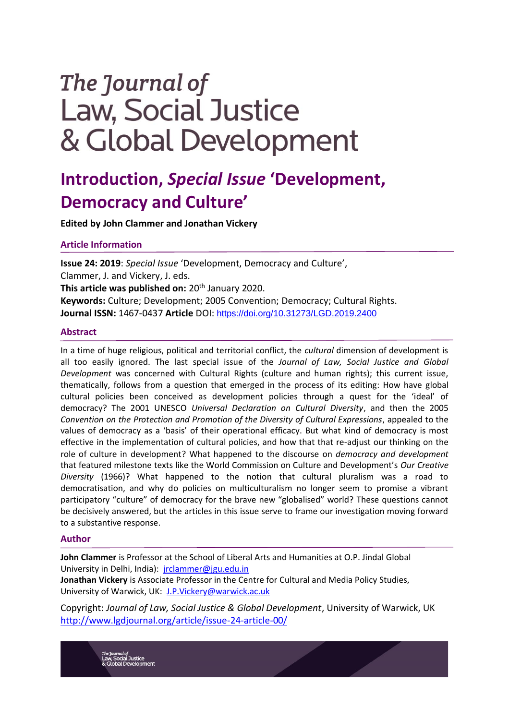# The Journal of **Law, Social Justice** & Global Development

## **Introduction,** *Special Issue* **'Development, Democracy and Culture'**

**Edited by John Clammer and Jonathan Vickery** 

### **Article Information**

**Issue 24: 2019**: *Special Issue* 'Development, Democracy and Culture', Clammer, J. and Vickery, J. eds. **This article was published on: 20<sup>th</sup> January 2020. Keywords:** Culture; Development; 2005 Convention; Democracy; Cultural Rights. **Journal ISSN:** 1467-0437 **Article** DOI: <https://doi.org/10.31273/LGD.2019.2400>

#### **Abstract**

In a time of huge religious, political and territorial conflict, the *cultural* dimension of development is all too easily ignored. The last special issue of the *Journal of Law, Social Justice and Global Development* was concerned with Cultural Rights (culture and human rights); this current issue, thematically, follows from a question that emerged in the process of its editing: How have global cultural policies been conceived as development policies through a quest for the 'ideal' of democracy? The 2001 UNESCO *Universal Declaration on Cultural Diversity*, and then the 2005 *Convention on the Protection and Promotion of the Diversity of Cultural Expressions*, appealed to the values of democracy as a 'basis' of their operational efficacy. But what kind of democracy is most effective in the implementation of cultural policies, and how that that re-adjust our thinking on the role of culture in development? What happened to the discourse on *democracy and development* that featured milestone texts like the World Commission on Culture and Development's *Our Creative Diversity* (1966)? What happened to the notion that cultural pluralism was a road to democratisation, and why do policies on multiculturalism no longer seem to promise a vibrant participatory "culture" of democracy for the brave new "globalised" world? These questions cannot be decisively answered, but the articles in this issue serve to frame our investigation moving forward to a substantive response.

#### **Author**

**John Clammer** is Professor at the School of Liberal Arts and Humanities at O.P. Jindal Global University in Delhi, India): [jrclammer@jgu.edu.in](mailto:jrclammer@jgu.edu.in)

**Jonathan Vickery** is Associate Professor in the Centre for Cultural and Media Policy Studies, University of Warwick, UK: [J.P.Vickery@warwick.ac.uk](mailto:J.P.Vickery@warwick.ac.uk)

Copyright: *Journal of Law, Social Justice & Global Development*, University of Warwick, UK <http://www.lgdjournal.org/article/issue-24-article-00/>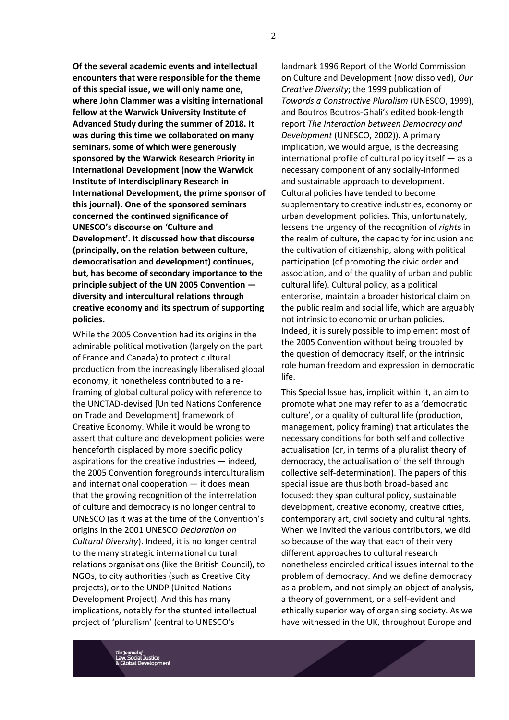**Of the several academic events and intellectual encounters that were responsible for the theme of this special issue, we will only name one, where John Clammer was a visiting international fellow at the Warwick University Institute of Advanced Study during the summer of 2018. It was during this time we collaborated on many seminars, some of which were generously sponsored by the Warwick Research Priority in International Development (now the Warwick Institute of Interdisciplinary Research in International Development, the prime sponsor of this journal). One of the sponsored seminars concerned the continued significance of UNESCO's discourse on 'Culture and Development'. It discussed how that discourse (principally, on the relation between culture, democratisation and development) continues, but, has become of secondary importance to the principle subject of the UN 2005 Convention diversity and intercultural relations through creative economy and its spectrum of supporting policies.** 

While the 2005 Convention had its origins in the admirable political motivation (largely on the part of France and Canada) to protect cultural production from the increasingly liberalised global economy, it nonetheless contributed to a reframing of global cultural policy with reference to the UNCTAD-devised [United Nations Conference on Trade and Development] framework of Creative Economy. While it would be wrong to assert that culture and development policies were henceforth displaced by more specific policy aspirations for the creative industries — indeed, the 2005 Convention foregrounds interculturalism and international cooperation — it does mean that the growing recognition of the interrelation of culture and democracy is no longer central to UNESCO (as it was at the time of the Convention's origins in the 2001 UNESCO *Declaration on Cultural Diversity*). Indeed, it is no longer central to the many strategic international cultural relations organisations (like the British Council), to NGOs, to city authorities (such as Creative City projects), or to the UNDP (United Nations Development Project). And this has many implications, notably for the stunted intellectual project of 'pluralism' (central to UNESCO's

landmark 1996 Report of the World Commission on Culture and Development (now dissolved), *Our Creative Diversity*; the 1999 publication of *Towards a Constructive Pluralism* (UNESCO, 1999), and Boutros Boutros-Ghali's edited book-length report *The Interaction between Democracy and Development* (UNESCO, 2002)). A primary implication, we would argue, is the decreasing international profile of cultural policy itself — as a necessary component of any socially-informed and sustainable approach to development. Cultural policies have tended to become supplementary to creative industries, economy or urban development policies. This, unfortunately, lessens the urgency of the recognition of *rights* in the realm of culture, the capacity for inclusion and the cultivation of citizenship, along with political participation (of promoting the civic order and association, and of the quality of urban and public cultural life). Cultural policy, as a political enterprise, maintain a broader historical claim on the public realm and social life, which are arguably not intrinsic to economic or urban policies. Indeed, it is surely possible to implement most of the 2005 Convention without being troubled by the question of democracy itself, or the intrinsic role human freedom and expression in democratic life.

This Special Issue has, implicit within it, an aim to promote what one may refer to as a 'democratic culture', or a quality of cultural life (production, management, policy framing) that articulates the necessary conditions for both self and collective actualisation (or, in terms of a pluralist theory of democracy, the actualisation of the self through collective self-determination). The papers of this special issue are thus both broad-based and focused: they span cultural policy, sustainable development, creative economy, creative cities, contemporary art, civil society and cultural rights. When we invited the various contributors, we did so because of the way that each of their very different approaches to cultural research nonetheless encircled critical issues internal to the problem of democracy. And we define democracy as a problem, and not simply an object of analysis, a theory of government, or a self-evident and ethically superior way of organising society. As we have witnessed in the UK, throughout Europe and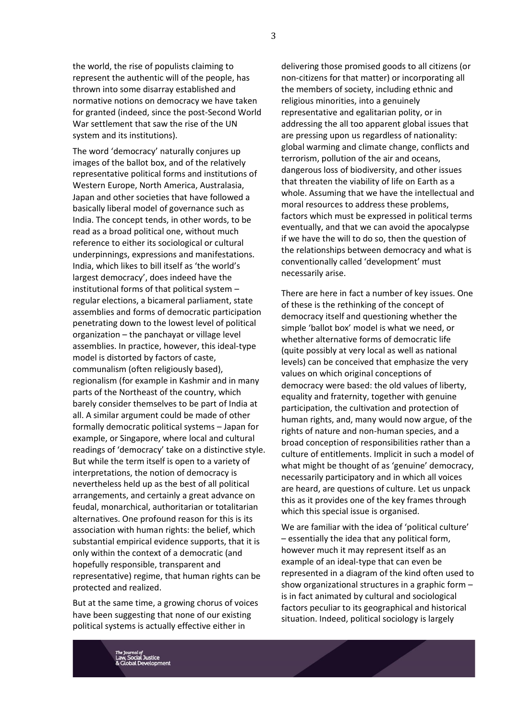the world, the rise of populists claiming to represent the authentic will of the people, has thrown into some disarray established and normative notions on democracy we have taken for granted (indeed, since the post-Second World War settlement that saw the rise of the UN system and its institutions).

The word 'democracy' naturally conjures up images of the ballot box, and of the relatively representative political forms and institutions of Western Europe, North America, Australasia, Japan and other societies that have followed a basically liberal model of governance such as India. The concept tends, in other words, to be read as a broad political one, without much reference to either its sociological or cultural underpinnings, expressions and manifestations. India, which likes to bill itself as 'the world's largest democracy', does indeed have the institutional forms of that political system – regular elections, a bicameral parliament, state assemblies and forms of democratic participation penetrating down to the lowest level of political organization – the panchayat or village level assemblies. In practice, however, this ideal-type model is distorted by factors of caste, communalism (often religiously based), regionalism (for example in Kashmir and in many parts of the Northeast of the country, which barely consider themselves to be part of India at all. A similar argument could be made of other formally democratic political systems – Japan for example, or Singapore, where local and cultural readings of 'democracy' take on a distinctive style. But while the term itself is open to a variety of interpretations, the notion of democracy is nevertheless held up as the best of all political arrangements, and certainly a great advance on feudal, monarchical, authoritarian or totalitarian alternatives. One profound reason for this is its association with human rights: the belief, which substantial empirical evidence supports, that it is only within the context of a democratic (and hopefully responsible, transparent and representative) regime, that human rights can be protected and realized.

But at the same time, a growing chorus of voices have been suggesting that none of our existing political systems is actually effective either in

delivering those promised goods to all citizens (or non-citizens for that matter) or incorporating all the members of society, including ethnic and religious minorities, into a genuinely representative and egalitarian polity, or in addressing the all too apparent global issues that are pressing upon us regardless of nationality: global warming and climate change, conflicts and terrorism, pollution of the air and oceans, dangerous loss of biodiversity, and other issues that threaten the viability of life on Earth as a whole. Assuming that we have the intellectual and moral resources to address these problems, factors which must be expressed in political terms eventually, and that we can avoid the apocalypse if we have the will to do so, then the question of the relationships between democracy and what is conventionally called 'development' must necessarily arise.

There are here in fact a number of key issues. One of these is the rethinking of the concept of democracy itself and questioning whether the simple 'ballot box' model is what we need, or whether alternative forms of democratic life (quite possibly at very local as well as national levels) can be conceived that emphasize the very values on which original conceptions of democracy were based: the old values of liberty, equality and fraternity, together with genuine participation, the cultivation and protection of human rights, and, many would now argue, of the rights of nature and non-human species, and a broad conception of responsibilities rather than a culture of entitlements. Implicit in such a model of what might be thought of as 'genuine' democracy, necessarily participatory and in which all voices are heard, are questions of culture. Let us unpack this as it provides one of the key frames through which this special issue is organised.

We are familiar with the idea of 'political culture' – essentially the idea that any political form, however much it may represent itself as an example of an ideal-type that can even be represented in a diagram of the kind often used to show organizational structures in a graphic form – is in fact animated by cultural and sociological factors peculiar to its geographical and historical situation. Indeed, political sociology is largely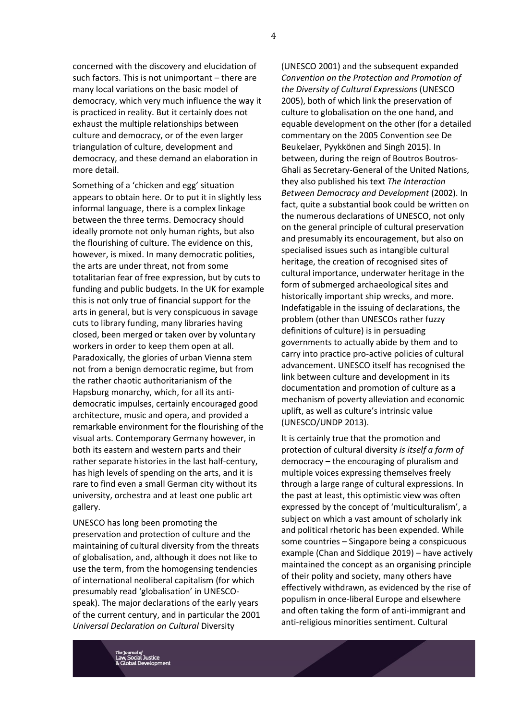concerned with the discovery and elucidation of such factors. This is not unimportant – there are many local variations on the basic model of democracy, which very much influence the way it is practiced in reality. But it certainly does not exhaust the multiple relationships between culture and democracy, or of the even larger triangulation of culture, development and democracy, and these demand an elaboration in more detail.

Something of a 'chicken and egg' situation appears to obtain here. Or to put it in slightly less informal language, there is a complex linkage between the three terms. Democracy should ideally promote not only human rights, but also the flourishing of culture. The evidence on this, however, is mixed. In many democratic polities, the arts are under threat, not from some totalitarian fear of free expression, but by cuts to funding and public budgets. In the UK for example this is not only true of financial support for the arts in general, but is very conspicuous in savage cuts to library funding, many libraries having closed, been merged or taken over by voluntary workers in order to keep them open at all. Paradoxically, the glories of urban Vienna stem not from a benign democratic regime, but from the rather chaotic authoritarianism of the Hapsburg monarchy, which, for all its antidemocratic impulses, certainly encouraged good architecture, music and opera, and provided a remarkable environment for the flourishing of the visual arts. Contemporary Germany however, in both its eastern and western parts and their rather separate histories in the last half-century, has high levels of spending on the arts, and it is rare to find even a small German city without its university, orchestra and at least one public art gallery.

UNESCO has long been promoting the preservation and protection of culture and the maintaining of cultural diversity from the threats of globalisation, and, although it does not like to use the term, from the homogensing tendencies of international neoliberal capitalism (for which presumably read 'globalisation' in UNESCOspeak). The major declarations of the early years of the current century, and in particular the 2001 *Universal Declaration on Cultural* Diversity

(UNESCO 2001) and the subsequent expanded *Convention on the Protection and Promotion of the Diversity of Cultural Expressions* (UNESCO 2005), both of which link the preservation of culture to globalisation on the one hand, and equable development on the other (for a detailed commentary on the 2005 Convention see De Beukelaer, Pyykkönen and Singh 2015). In between, during the reign of Boutros Boutros-Ghali as Secretary-General of the United Nations, they also published his text *The Interaction Between Democracy and Development* (2002). In fact, quite a substantial book could be written on the numerous declarations of UNESCO, not only on the general principle of cultural preservation and presumably its encouragement, but also on specialised issues such as intangible cultural heritage, the creation of recognised sites of cultural importance, underwater heritage in the form of submerged archaeological sites and historically important ship wrecks, and more. Indefatigable in the issuing of declarations, the problem (other than UNESCOs rather fuzzy definitions of culture) is in persuading governments to actually abide by them and to carry into practice pro-active policies of cultural advancement. UNESCO itself has recognised the link between culture and development in its documentation and promotion of culture as a mechanism of poverty alleviation and economic uplift, as well as culture's intrinsic value (UNESCO/UNDP 2013).

It is certainly true that the promotion and protection of cultural diversity *is itself a form of*  democracy – the encouraging of pluralism and multiple voices expressing themselves freely through a large range of cultural expressions. In the past at least, this optimistic view was often expressed by the concept of 'multiculturalism', a subject on which a vast amount of scholarly ink and political rhetoric has been expended. While some countries – Singapore being a conspicuous example (Chan and Siddique 2019) – have actively maintained the concept as an organising principle of their polity and society, many others have effectively withdrawn, as evidenced by the rise of populism in once-liberal Europe and elsewhere and often taking the form of anti-immigrant and anti-religious minorities sentiment. Cultural

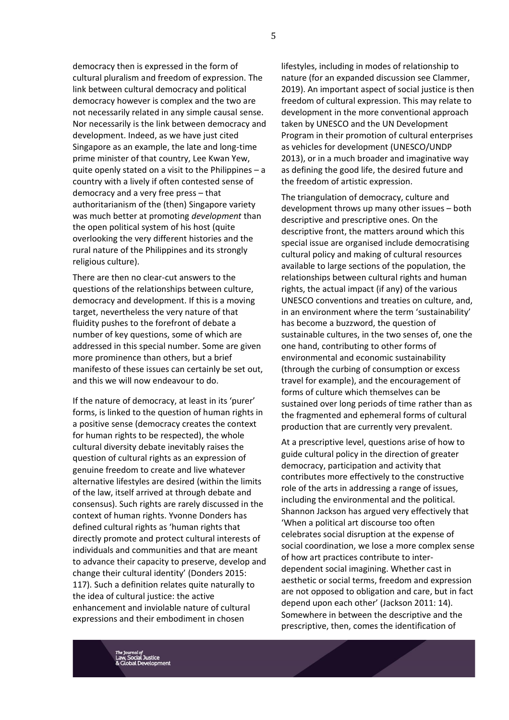democracy then is expressed in the form of cultural pluralism and freedom of expression. The link between cultural democracy and political democracy however is complex and the two are not necessarily related in any simple causal sense. Nor necessarily is the link between democracy and development. Indeed, as we have just cited Singapore as an example, the late and long-time prime minister of that country, Lee Kwan Yew, quite openly stated on a visit to the Philippines – a country with a lively if often contested sense of democracy and a very free press – that authoritarianism of the (then) Singapore variety was much better at promoting *development* than the open political system of his host (quite overlooking the very different histories and the rural nature of the Philippines and its strongly religious culture).

There are then no clear-cut answers to the questions of the relationships between culture, democracy and development. If this is a moving target, nevertheless the very nature of that fluidity pushes to the forefront of debate a number of key questions, some of which are addressed in this special number. Some are given more prominence than others, but a brief manifesto of these issues can certainly be set out, and this we will now endeavour to do.

If the nature of democracy, at least in its 'purer' forms, is linked to the question of human rights in a positive sense (democracy creates the context for human rights to be respected), the whole cultural diversity debate inevitably raises the question of cultural rights as an expression of genuine freedom to create and live whatever alternative lifestyles are desired (within the limits of the law, itself arrived at through debate and consensus). Such rights are rarely discussed in the context of human rights. Yvonne Donders has defined cultural rights as 'human rights that directly promote and protect cultural interests of individuals and communities and that are meant to advance their capacity to preserve, develop and change their cultural identity' (Donders 2015: 117). Such a definition relates quite naturally to the idea of cultural justice: the active enhancement and inviolable nature of cultural expressions and their embodiment in chosen

lifestyles, including in modes of relationship to nature (for an expanded discussion see Clammer, 2019). An important aspect of social justice is then freedom of cultural expression. This may relate to development in the more conventional approach taken by UNESCO and the UN Development Program in their promotion of cultural enterprises as vehicles for development (UNESCO/UNDP 2013), or in a much broader and imaginative way as defining the good life, the desired future and the freedom of artistic expression.

The triangulation of democracy, culture and development throws up many other issues – both descriptive and prescriptive ones. On the descriptive front, the matters around which this special issue are organised include democratising cultural policy and making of cultural resources available to large sections of the population, the relationships between cultural rights and human rights, the actual impact (if any) of the various UNESCO conventions and treaties on culture, and, in an environment where the term 'sustainability' has become a buzzword, the question of sustainable cultures, in the two senses of, one the one hand, contributing to other forms of environmental and economic sustainability (through the curbing of consumption or excess travel for example), and the encouragement of forms of culture which themselves can be sustained over long periods of time rather than as the fragmented and ephemeral forms of cultural production that are currently very prevalent.

At a prescriptive level, questions arise of how to guide cultural policy in the direction of greater democracy, participation and activity that contributes more effectively to the constructive role of the arts in addressing a range of issues, including the environmental and the political. Shannon Jackson has argued very effectively that 'When a political art discourse too often celebrates social disruption at the expense of social coordination, we lose a more complex sense of how art practices contribute to interdependent social imagining. Whether cast in aesthetic or social terms, freedom and expression are not opposed to obligation and care, but in fact depend upon each other' (Jackson 2011: 14). Somewhere in between the descriptive and the prescriptive, then, comes the identification of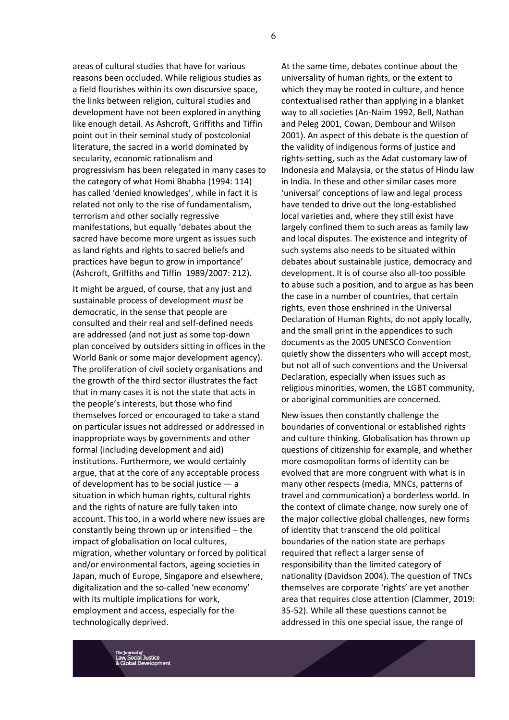areas of cultural studies that have for various reasons been occluded. While religious studies as a field flourishes within its own discursive space, the links between religion, cultural studies and development have not been explored in anything like enough detail. As Ashcroft, Griffiths and Tiffin point out in their seminal study of postcolonial literature, the sacred in a world dominated by secularity, economic rationalism and progressivism has been relegated in many cases to the category of what Homi Bhabha (1994: 114) has called 'denied knowledges', while in fact it is related not only to the rise of fundamentalism, terrorism and other socially regressive manifestations, but equally 'debates about the sacred have become more urgent as issues such as land rights and rights to sacred beliefs and practices have begun to grow in importance' (Ashcroft, Griffiths and Tiffin 1989/2007: 212).

It might be argued, of course, that any just and sustainable process of development *must* be democratic, in the sense that people are consulted and their real and self-defined needs are addressed (and not just as some top-down plan conceived by outsiders sitting in offices in the World Bank or some major development agency). The proliferation of civil society organisations and the growth of the third sector illustrates the fact that in many cases it is not the state that acts in the people's interests, but those who find themselves forced or encouraged to take a stand on particular issues not addressed or addressed in inappropriate ways by governments and other formal (including development and aid) institutions. Furthermore, we would certainly argue, that at the core of any acceptable process of development has to be social justice  $-$  a situation in which human rights, cultural rights and the rights of nature are fully taken into account. This too, in a world where new issues are constantly being thrown up or intensified – the impact of globalisation on local cultures, migration, whether voluntary or forced by political and/or environmental factors, ageing societies in Japan, much of Europe, Singapore and elsewhere, digitalization and the so-called 'new economy' with its multiple implications for work, employment and access, especially for the technologically deprived.

At the same time, debates continue about the universality of human rights, or the extent to which they may be rooted in culture, and hence contextualised rather than applying in a blanket way to all societies (An-Naim 1992, Bell, Nathan and Peleg 2001, Cowan, Dembour and Wilson 2001). An aspect of this debate is the question of the validity of indigenous forms of justice and rights-setting, such as the Adat customary law of Indonesia and Malaysia, or the status of Hindu law in India. In these and other similar cases more 'universal' conceptions of law and legal process have tended to drive out the long-established local varieties and, where they still exist have largely confined them to such areas as family law and local disputes. The existence and integrity of such systems also needs to be situated within debates about sustainable justice, democracy and development. It is of course also all-too possible to abuse such a position, and to argue as has been the case in a number of countries, that certain rights, even those enshrined in the Universal Declaration of Human Rights, do not apply locally, and the small print in the appendices to such documents as the 2005 UNESCO Convention quietly show the dissenters who will accept most, but not all of such conventions and the Universal Declaration, especially when issues such as religious minorities, women, the LGBT community, or aboriginal communities are concerned.

New issues then constantly challenge the boundaries of conventional or established rights and culture thinking. Globalisation has thrown up questions of citizenship for example, and whether more cosmopolitan forms of identity can be evolved that are more congruent with what is in many other respects (media, MNCs, patterns of travel and communication) a borderless world. In the context of climate change, now surely one of the major collective global challenges, new forms of identity that transcend the old political boundaries of the nation state are perhaps required that reflect a larger sense of responsibility than the limited category of nationality (Davidson 2004). The question of TNCs themselves are corporate 'rights' are yet another area that requires close attention (Clammer, 2019: 35-52). While all these questions cannot be addressed in this one special issue, the range of

6